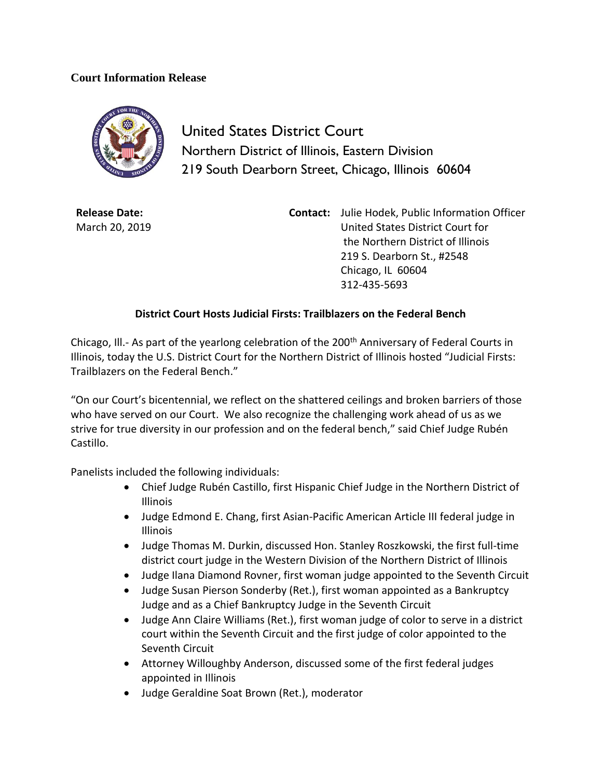## **Court Information Release**



United States District Court Northern District of Illinois, Eastern Division 219 South Dearborn Street, Chicago, Illinois 60604

**Release Date:** March 20, 2019 **Contact:** Julie Hodek, Public Information Officer United States District Court for the Northern District of Illinois 219 S. Dearborn St., #2548 Chicago, IL 60604 312-435-5693

## **District Court Hosts Judicial Firsts: Trailblazers on the Federal Bench**

Chicago, Ill.- As part of the yearlong celebration of the 200<sup>th</sup> Anniversary of Federal Courts in Illinois, today the U.S. District Court for the Northern District of Illinois hosted "Judicial Firsts: Trailblazers on the Federal Bench."

"On our Court's bicentennial, we reflect on the shattered ceilings and broken barriers of those who have served on our Court. We also recognize the challenging work ahead of us as we strive for true diversity in our profession and on the federal bench," said Chief Judge Rubén Castillo.

Panelists included the following individuals:

- Chief Judge Rubén Castillo, first Hispanic Chief Judge in the Northern District of Illinois
- Judge Edmond E. Chang, first Asian-Pacific American Article III federal judge in Illinois
- Judge Thomas M. Durkin, discussed Hon. Stanley Roszkowski, the first full-time district court judge in the Western Division of the Northern District of Illinois
- Judge Ilana Diamond Rovner, first woman judge appointed to the Seventh Circuit
- Judge Susan Pierson Sonderby (Ret.), first woman appointed as a Bankruptcy Judge and as a Chief Bankruptcy Judge in the Seventh Circuit
- Judge Ann Claire Williams (Ret.), first woman judge of color to serve in a district court within the Seventh Circuit and the first judge of color appointed to the Seventh Circuit
- Attorney Willoughby Anderson, discussed some of the first federal judges appointed in Illinois
- Judge Geraldine Soat Brown (Ret.), moderator